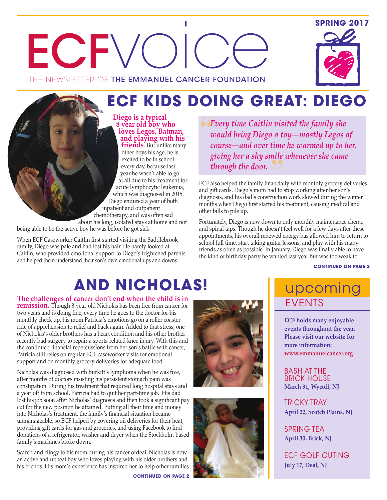## **SPRING 2017**





# **ECF KIDS DOING GREAT: DIEGO**

**Diego is a typical 8 year old boy who loves Legos, Batman, and playing with his friends**. But unlike many

other boys his age, he is excited to be in school every day, because last year he wasn't able to go at all due to his treatment for acute lymphocytic leukemia, which was diagnosed in 2015. Diego endured a year of both inpatient and outpatient chemotherapy, and was often sad about his long, isolated stays at home and not

being able to be the active boy he was before he got sick.

When ECF Caseworker Caitlin first started visiting the Saddlebrook family, Diego was pale and had lost his hair. He barely looked at Caitlin, who provided emotional support to Diego's frightened parents and helped them understand their son's own emotional ups and downs.

*Every time Caitlin visited the family she would bring Diego a toy—mostly Legos of course—and over time he warmed up to her, giving her a shy smile whenever she came through the door.*

ECF also helped the family financially with monthly grocery deliveries and gift cards. Diego's mom had to stop working after her son's diagnosis, and his dad's construction work slowed during the winter months when Diego first started his treatment, causing medical and other bills to pile up.

Fortunately, Diego is now down to only monthly maintenance chemo and spinal taps. Though he doesn't feel well for a few days after these appointments, his overall renewed energy has allowed him to return to school full time, start taking guitar lessons, and play with his many friends as often as possible. In January, Diego was finally able to have the kind of birthday party he wanted last year but was too weak to

**CONTINUED ON PAGE 2**

# **AND NICHOLAS!**

**The challenges of cancer don't end when the child is in remission.** Though 8-year-old Nicholas has been free from cancer for two years and is doing fine, every time he goes to the doctor for his monthly check up, his mom Patricia's emotions go on a roller coaster ride of apprehension to relief and back again. Added to that stress, one of Nicholas's older brothers has a heart condition and his other brother recently had surgery to repair a sports-related knee injury. With this and the continued financial repercussions from her son's battle with cancer, Patricia still relies on regular ECF caseworker visits for emotional support and on monthly grocery deliveries for adequate food.

Nicholas was diagnosed with Burkitt's lymphoma when he was five, after months of doctors insisting his persistent stomach pain was constipation. During his treatment that required long hospital stays and a year off from school, Patricia had to quit her part-time job. His dad lost his job soon after Nicholas' diagnosis and then took a significant pay cut for the new position he attained. Putting all their time and money into Nicholas's treatment, the family's financial situation became unmanageable, so ECF helped by covering oil deliveries for their heat, providing gift cards for gas and groceries, and using Facebook to find donations of a refrigerator, washer and dryer when the Stockholm-based family's machines broke down.

Scared and clingy to his mom during his cancer ordeal, Nicholas is now an active and upbeat boy who loves playing with his older brothers and his friends. His mom's experience has inspired her to help other families

**CONTINUED ON PAGE 2**





# upcoming EVENTS

**ECF holds many enjoyable events throughout the year. Please visit our website for more information: www.emmanuelcancer.org**

BaSh aT ThE Brick houSE **March 31, Wycoff, NJ**

TrickY TraY **April 22, Scotch Plains, NJ**

SpriNg TEa **April 30, Brick, NJ**

EcF goLF ouTiNg **July 17, Deal, NJ**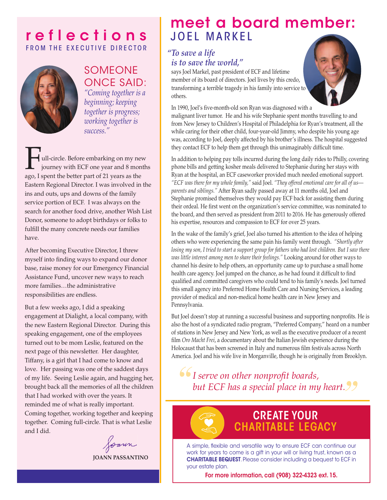## **r e f l e c t i o n s** FROM THE EXECUTIVE DIRECTOR



## SoMEoNE oNcE SaiD:

*"Coming together is a beginning; keeping together is progress; working together is success."*

Full-circle. Before embarking on my new journey with ECF one year and 8 months ago, I spent the better part of 21 years as the Eastern Regional Director. I was involved in the ins and outs, ups and downs of the family service portion of ECF. I was always on the search for another food drive, another Wish List Donor, someone to adopt birthdays or folks to fulfill the many concrete needs our families have.

After becoming Executive Director, I threw myself into finding ways to expand our donor base, raise money for our Emergency Financial Assistance Fund, uncover new ways to reach more families…the administrative responsibilities are endless.

But a few weeks ago, I did a speaking engagement at Dialight, a local company, with the new Eastern Regional Director. During this speaking engagement, one of the employees turned out to be mom Leslie, featured on the next page of this newsletter. Her daughter, Tiffany, is a girl that I had come to know and love. Her passing was one of the saddest days of my life. Seeing Leslie again, and hugging her, brought back all the memories of all the children that I had worked with over the years. It reminded me of what is really important. Coming together, working together and keeping together. Coming full-circle. That is what Leslie and I did.

Joann

**JOANN PASSANTINO**

# **meet a board member:** JOEL MARKEL

## *To save a life " is to save the world,"*

says Joel Markel, past president of ECF and lifetime member of its board of directors. Joel lives by this credo, transforming a terrible tragedy in his family into service to others.

In 1990, Joel's five-month-old son Ryan was diagnosed with a malignant liver tumor. He and his wife Stephanie spent months travelling to and from New Jersey to Children's Hospital of Philadelphia for Ryan's treatment, all the while caring for their other child, four-year-old Jimmy, who despite his young age was, according to Joel, deeply affected by his brother's illness. The hospital suggested they contact ECF to help them get through this unimaginably difficult time.

In addition to helping pay tolls incurred during the long daily rides to Philly, covering phone bills and getting kosher meals delivered to Stephanie during her stays with Ryan at the hospital, an ECF caseworker provided much needed emotional support. *"ECF was there for my whole family,"* said Joel. *"They offered emotional care for all of us parents and siblings."* After Ryan sadly passed away at 11 months old, Joel and Stephanie promised themselves they would pay ECF back for assisting them during their ordeal. He first went on the organization's service committee, was nominated to the board, and then served as president from 2011 to 2016. He has generously offered his expertise, resources and compassion to ECF for over 25 years.

In the wake of the family's grief, Joel also turned his attention to the idea of helping others who were experiencing the same pain his family went through. *"Shortly after* losing my son, I tried to start a support group for fathers who had lost children. But I saw there *was little interest among men to share their feelings."* Looking around for other ways to channel his desire to help others, an opportunity came up to purchase a small home health care agency. Joel jumped on the chance, as he had found it difficult to find qualified and committed caregivers who could tend to his family's needs. Joel turned this small agency into Preferred Home Health Care and Nursing Services, a leading provider of medical and non-medical home health care in New Jersey and Pennsylvania.

But Joel doesn't stop at running a successful business and supporting nonprofits. He is also the host of a syndicated radio program, "Preferred Company," heard on a number of stations in New Jersey and New York, as well as the executive producer of a recent film *Oro Macht Frei*, a documentary about the Italian Jewish experience during the Holocaust that has been screened in Italy and numerous film festivals across North America. Joel and his wife live in Morganville, though he is originally from Brooklyn.

*I serve on other nonprofit boards, but ECF has a special place in my heart.*

# **CREATE YOUR CHARITABLE LEGACY**

a simple, flexible and versatile way to ensure EcF can continue our work for years to come is a gift in your will or living trust, known as a **CHARITABLE BEQUEST**. please consider including a bequest to EcF in your estate plan.

**For more information, call (908) 322-4323 ext. 15.**

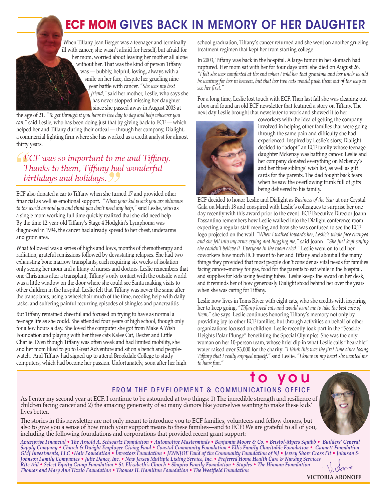# **ECF MOM GIVES BACK IN MEMORY OF HER DAUGHTER**

When Tiffany Jean Berger was a teenager and terminally ill with cancer, she wasn't afraid for herself, but afraid for her mom, worried about leaving her mother all alone without her. That was the kind of person Tiffany was — bubbly, helpful, loving, always with a smile on her face, despite her grueling nineyear battle with cancer. *"She was my best friend,"* said her mother, Leslie, who says she has never stopped missing her daughter since she passed away in August 2003 at

the age of 21. *"To get through it you have to live day to day and help whoever you can,"* said Leslie, who has been doing just that by giving back to ECF — which helped her and Tiffany during their ordeal — through her company, Dialight, a commercial lighting firm where she has worked as a credit analyst for almost thirty years.

*ECF was so important to me and Tiffany. Thanks to them, Tiffany had wonderful birthdays and holidays.*

ECF also donated a car to Tiffany when she turned 17 and provided other financial as well as emotional support. *"When your kid is sick you are oblivious to the world around you and think you don't need any help,"* said Leslie, who as a single mom working full time quickly realized that she did need help. By the time 12-year-old Tiffany's Stage 4 Hodgkin's Lymphoma was diagnosed in 1994, the cancer had already spread to her chest, underarms and groin area.

What followed was a series of highs and lows, months of chemotherapy and radiation, grateful remissions followed by devastating relapses. She had two exhausting bone marrow transplants, each requiring six weeks of isolation only seeing her mom and a litany of nurses and doctors. Leslie remembers that one Christmas after a transplant, Tiffany's only contact with the outside world was a little window on the door where she could see Santa making visits to other children in the hospital. Leslie felt that Tiffany was never the same after the transplants, using a wheelchair much of the time, needing help with daily tasks, and suffering painful recurring episodes of shingles and pancreatitis.

But Tiffany remained cheerful and focused on trying to have as normal a teenage life as she could. She attended four years of high school, though only for a few hours a day. She loved the computer she got from Make A Wish Foundation and playing with her three cats Kalee Cat, Dexter and Little Charlie. Even though Tiffany was often weak and had limited mobility, she and her mom liked to go to Great Adventure and sit on a bench and peoplewatch. And Tiffany had signed up to attend Brookdale College to study computers, which had become her passion. Unfortunately, soon after her high school graduation, Tiffany's cancer returned and she went on another grueling treatment regimen that kept her from starting college.

In 2003, Tiffany was back in the hospital. A large tumor in her stomach had ruptured. Her mom sat with her for four days until she died on August 26. *"I felt she was comforted at the end when I told her that grandma and her uncle would be waiting for her in heaven, but that her two cats would push them out of the way to see her first."*

For a long time, Leslie lost touch with ECF. Then last fall she was cleaning out a box and found an old ECF newsletter that featured a story on Tiffany. The next day Leslie brought that newsletter to work and showed it to her



coworkers with the idea of getting the company involved in helping other families that were going through the same pain and difficulty she had experienced. Inspired by Leslie's story, Dialight decided to "adopt" an ECF family whose teenage daughter Mckenzy was battling cancer. Leslie and her company donated everything on Mckenzy's and her three siblings' wish list, as well as gift cards for the parents. The dad fought back tears when he saw the overflowing trunk full of gifts being delivered to his family.

ECF decided to honor Leslie and Dialight as *Business of the Year* at our Crystal Gala on March 18 and conspired with Leslie's colleagues to surprise her one day recently with this award prior to the event. ECF Executive Director Joann Passantino remembers how Leslie walked into the Dialight conference room expecting a regular staff meeting and how she was confused to see the ECF logo projected on the wall. *"When I walked towards her, Leslie's whole face changed and she fell into my arms crying and hugging me,"* said Joann. *"She just kept saying she couldn't believe it. Everyone in the room cried."* Leslie went on to tell her coworkers how much ECF meant to her and Tiffany and about all the many things they provided that most people don't consider as vital needs for families facing cancer--money for gas, food for the parents to eat while in the hospital, and supplies for kids using feeding tubes. Leslie keeps the award on her desk, and it reminds her of how generously Dialight stood behind her over the years when she was caring for Tiffany.

Leslie now lives in Toms River with eight cats, who she credits with inspiring her to keep going. *"Tiffany loved cats and would want me to take the best care of them,"* she says. Leslie continues honoring Tiffany's memory not only by providing joy to other ECF families, but through activities on behalf of other organizations focused on children. Leslie recently took part in the "Seaside Heights Polar Plunge" benefitting the Special Olympics. She was the only woman on her 10-person team, whose brief dip in what Leslie calls "bearable" water raised over \$3,000 for the charity. *"I think this was the first time since losing Tiffany that I really enjoyed myself,"* said Leslie. *"I know in my heart she wanted me to have fun."*

## **t o y o u** FROM THE DEVELOPMENT & COMMUNICATIONS OFFICE



As I enter my second year at ECF, I continue to be astounded at two things: 1) The incredible strength and resilience of children facing cancer and 2) the amazing generosity of so many donors like yourselves wanting to make these kids' lives better.

The stories in this newsletter are not only meant to introduce you to ECF families, volunteers and fellow donors, but also to give you a sense of how much your support means to these families—and to ECF! We are grateful to all of you, including the following foundations and corporations that provided recent grant support:

Ameriprise Financial • The Arnold A. Schwartz Foundation • Automotive Masterminds • Benjamin Moore & Co. • Bristol-Myers Squibb • Builders' General Supply Company • Church & Dwight Employee Giving Fund • Coastal Community Foundation • Ellis Family Charitable Foundation • Gannett Foundation GMJ Investments, LLC •Hair Foundation • Investors Foundation • JENNJOE Fund of the Community Foundation of NJ • Jersey Shore Cross Fit • Johnson & Johnson Family Companies • Julie Dance, Inc. • New Jersey Multiple Listing Service, Inc. • Preferred Home Health Care & Nursing Services Rite Aid • Select Equity Group Foundation • St. Elizabeth's Church • Shapiro Family Foundation • Staples • The Hinman Foundation *Thomas and Mary Ann Tizzio Foundation • Thomas H. Hamilton Foundation • The Westfield Foundation*

**VICTORIA ARONOFF**